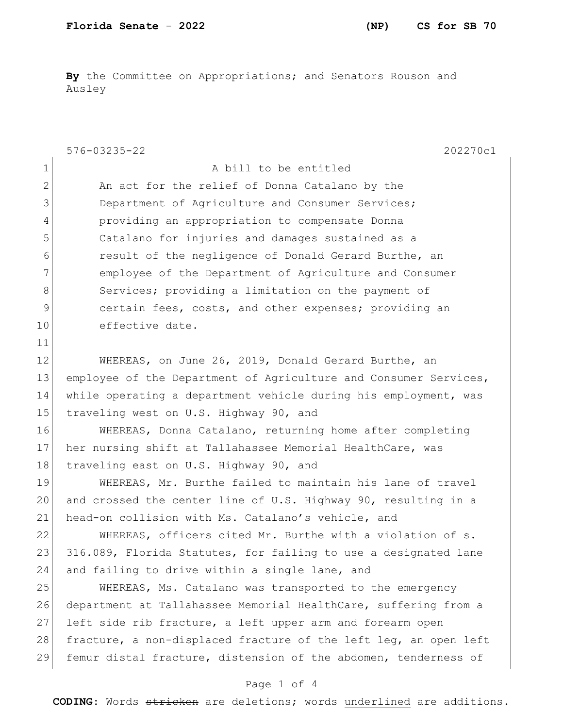**By** the Committee on Appropriations; and Senators Rouson and Ausley

|                | $576 - 03235 - 22$<br>202270c1                                   |
|----------------|------------------------------------------------------------------|
| $\mathbf 1$    | A bill to be entitled                                            |
| $\overline{2}$ | An act for the relief of Donna Catalano by the                   |
| 3              | Department of Agriculture and Consumer Services;                 |
| 4              | providing an appropriation to compensate Donna                   |
| 5              | Catalano for injuries and damages sustained as a                 |
| 6              | result of the negligence of Donald Gerard Burthe, an             |
| 7              | employee of the Department of Agriculture and Consumer           |
| 8              | Services; providing a limitation on the payment of               |
| 9              | certain fees, costs, and other expenses; providing an            |
| 10             | effective date.                                                  |
| 11             |                                                                  |
| 12             | WHEREAS, on June 26, 2019, Donald Gerard Burthe, an              |
| 13             | employee of the Department of Agriculture and Consumer Services, |
| 14             | while operating a department vehicle during his employment, was  |
| 15             | traveling west on U.S. Highway 90, and                           |
| 16             | WHEREAS, Donna Catalano, returning home after completing         |
| 17             | her nursing shift at Tallahassee Memorial HealthCare, was        |
| 18             | traveling east on U.S. Highway 90, and                           |
| 19             | WHEREAS, Mr. Burthe failed to maintain his lane of travel        |
| 20             | and crossed the center line of U.S. Highway 90, resulting in a   |
| 21             | head-on collision with Ms. Catalano's vehicle, and               |
| 22             | WHEREAS, officers cited Mr. Burthe with a violation of s.        |
| 23             | 316.089, Florida Statutes, for failing to use a designated lane  |
| 24             | and failing to drive within a single lane, and                   |
| 25             | WHEREAS, Ms. Catalano was transported to the emergency           |
| 26             | department at Tallahassee Memorial HealthCare, suffering from a  |
| 27             | left side rib fracture, a left upper arm and forearm open        |
| 28             | fracture, a non-displaced fracture of the left leg, an open left |
| 29             | femur distal fracture, distension of the abdomen, tenderness of  |
|                | Page 1 of 4                                                      |

**CODING**: Words stricken are deletions; words underlined are additions.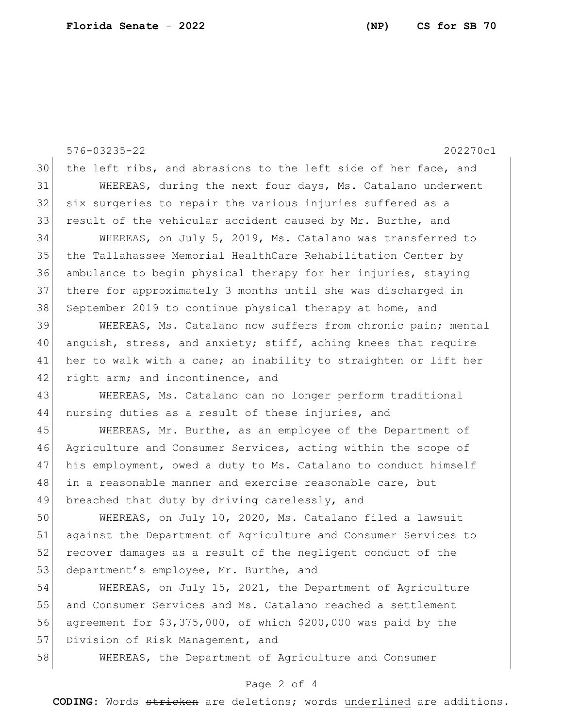576-03235-22 202270c1 30 the left ribs, and abrasions to the left side of her face, and 31 WHEREAS, during the next four days, Ms. Catalano underwent 32 six surgeries to repair the various injuries suffered as a 33 result of the vehicular accident caused by Mr. Burthe, and 34 WHEREAS, on July 5, 2019, Ms. Catalano was transferred to 35 the Tallahassee Memorial HealthCare Rehabilitation Center by 36 ambulance to begin physical therapy for her injuries, staying 37 there for approximately 3 months until she was discharged in 38 September 2019 to continue physical therapy at home, and 39 WHEREAS, Ms. Catalano now suffers from chronic pain; mental 40 anguish, stress, and anxiety; stiff, aching knees that require 41 her to walk with a cane; an inability to straighten or lift her 42 right arm; and incontinence, and 43 WHEREAS, Ms. Catalano can no longer perform traditional 44 nursing duties as a result of these injuries, and 45 WHEREAS, Mr. Burthe, as an employee of the Department of 46 Agriculture and Consumer Services, acting within the scope of 47 his employment, owed a duty to Ms. Catalano to conduct himself 48 in a reasonable manner and exercise reasonable care, but 49 breached that duty by driving carelessly, and 50 WHEREAS, on July 10, 2020, Ms. Catalano filed a lawsuit 51 against the Department of Agriculture and Consumer Services to 52 recover damages as a result of the negligent conduct of the 53 department's employee, Mr. Burthe, and 54 WHEREAS, on July 15, 2021, the Department of Agriculture 55 and Consumer Services and Ms. Catalano reached a settlement 56 agreement for \$3,375,000, of which \$200,000 was paid by the 57 Division of Risk Management, and 58 WHEREAS, the Department of Agriculture and Consumer

## Page 2 of 4

**CODING**: Words stricken are deletions; words underlined are additions.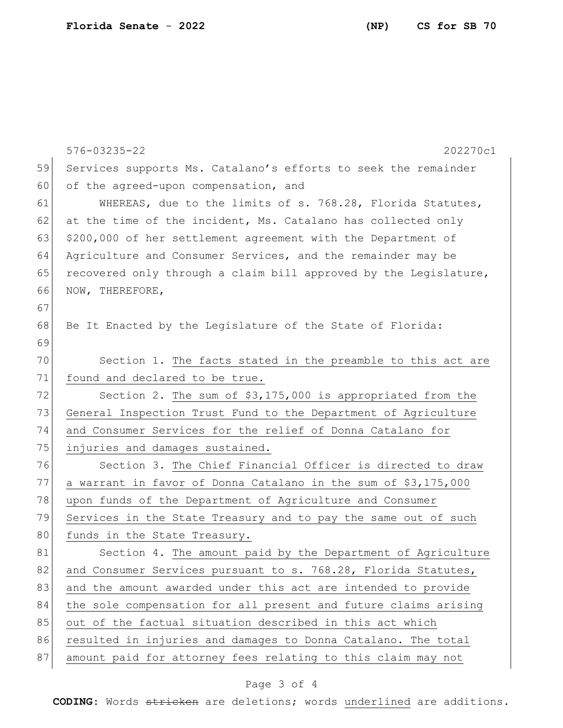|    | 576-03235-22<br>202270c1                                         |
|----|------------------------------------------------------------------|
| 59 | Services supports Ms. Catalano's efforts to seek the remainder   |
| 60 | of the agreed-upon compensation, and                             |
| 61 | WHEREAS, due to the limits of s. 768.28, Florida Statutes,       |
| 62 | at the time of the incident, Ms. Catalano has collected only     |
| 63 | \$200,000 of her settlement agreement with the Department of     |
| 64 | Agriculture and Consumer Services, and the remainder may be      |
| 65 | recovered only through a claim bill approved by the Legislature, |
| 66 | NOW, THEREFORE,                                                  |
| 67 |                                                                  |
| 68 | Be It Enacted by the Legislature of the State of Florida:        |
| 69 |                                                                  |
| 70 | Section 1. The facts stated in the preamble to this act are      |
| 71 | found and declared to be true.                                   |
| 72 | Section 2. The sum of \$3,175,000 is appropriated from the       |
| 73 | General Inspection Trust Fund to the Department of Agriculture   |
| 74 | and Consumer Services for the relief of Donna Catalano for       |
| 75 | injuries and damages sustained.                                  |
| 76 | Section 3. The Chief Financial Officer is directed to draw       |
| 77 | a warrant in favor of Donna Catalano in the sum of \$3,175,000   |
| 78 | upon funds of the Department of Agriculture and Consumer         |
| 79 | Services in the State Treasury and to pay the same out of such   |
| 80 | funds in the State Treasury.                                     |
| 81 | Section 4. The amount paid by the Department of Agriculture      |
| 82 | and Consumer Services pursuant to s. 768.28, Florida Statutes,   |
| 83 | and the amount awarded under this act are intended to provide    |
| 84 | the sole compensation for all present and future claims arising  |
| 85 | out of the factual situation described in this act which         |
| 86 | resulted in injuries and damages to Donna Catalano. The total    |
| 87 | amount paid for attorney fees relating to this claim may not     |

## Page 3 of 4

**CODING**: Words stricken are deletions; words underlined are additions.